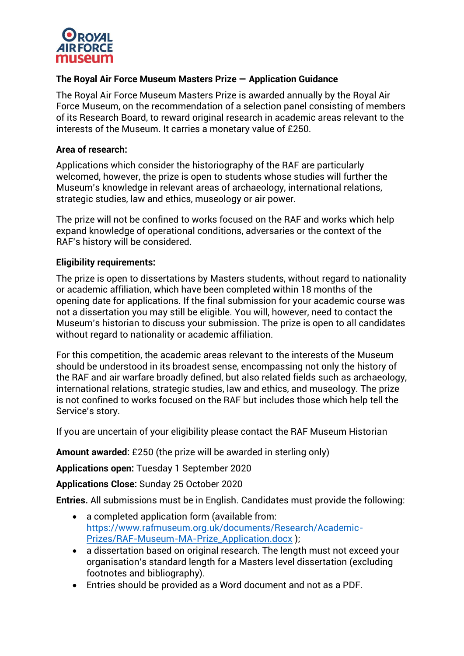

# **The Royal Air Force Museum Masters Prize — Application Guidance**

The Royal Air Force Museum Masters Prize is awarded annually by the Royal Air Force Museum, on the recommendation of a selection panel consisting of members of its Research Board, to reward original research in academic areas relevant to the interests of the Museum. It carries a monetary value of £250.

### **Area of research:**

Applications which consider the historiography of the RAF are particularly welcomed, however, the prize is open to students whose studies will further the Museum's knowledge in relevant areas of archaeology, international relations, strategic studies, law and ethics, museology or air power.

The prize will not be confined to works focused on the RAF and works which help expand knowledge of operational conditions, adversaries or the context of the RAF's history will be considered.

### **Eligibility requirements:**

The prize is open to dissertations by Masters students, without regard to nationality or academic affiliation, which have been completed within 18 months of the opening date for applications. If the final submission for your academic course was not a dissertation you may still be eligible. You will, however, need to contact the Museum's historian to discuss your submission. The prize is open to all candidates without regard to nationality or academic affiliation.

For this competition, the academic areas relevant to the interests of the Museum should be understood in its broadest sense, encompassing not only the history of the RAF and air warfare broadly defined, but also related fields such as archaeology, international relations, strategic studies, law and ethics, and museology. The prize is not confined to works focused on the RAF but includes those which help tell the Service's story.

If you are uncertain of your eligibility please contact the RAF Museum Historian

**Amount awarded:** £250 (the prize will be awarded in sterling only)

**Applications open:** Tuesday 1 September 2020

**Applications Close:** Sunday 25 October 2020

**Entries.** All submissions must be in English. Candidates must provide the following:

- a completed application form (available from: [https://www.rafmuseum.org.uk/documents/Research/Academic-](https://www.rafmuseum.org.uk/documents/Research/Academic-Prizes/RAF-Museum-MA-Prize_Application.docx)[Prizes/RAF-Museum-MA-Prize\\_Application.docx](https://www.rafmuseum.org.uk/documents/Research/Academic-Prizes/RAF-Museum-MA-Prize_Application.docx) );
- a dissertation based on original research. The length must not exceed your organisation's standard length for a Masters level dissertation (excluding footnotes and bibliography).
- Entries should be provided as a Word document and not as a PDF.